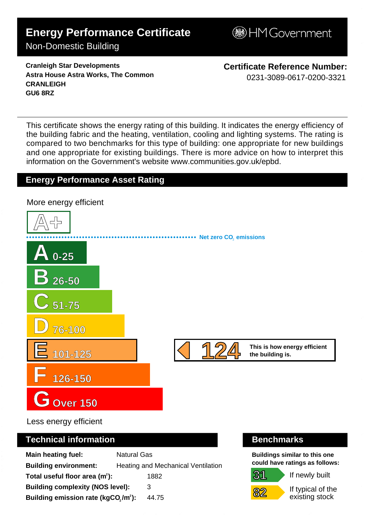# **Energy Performance Certificate**

## Non-Domestic Building

**BHM Government** 

**Cranleigh Star Developments Astra House Astra Works, The Common CRANLEIGH GU6 8RZ**

**Certificate Reference Number:** 0231-3089-0617-0200-3321

This certificate shows the energy rating of this building. It indicates the energy efficiency of the building fabric and the heating, ventilation, cooling and lighting systems. The rating is compared to two benchmarks for this type of building: one appropriate for new buildings and one appropriate for existing buildings. There is more advice on how to interpret this information on the Government's websit[e www.communities.gov.uk/epbd.](http://www.communities.gov.uk/epbd)

# **Energy Performance Asset Rating**



Less energy efficient

#### **Technical information Benchmarks**

| <b>Main heating fuel:</b>                       | <b>Natural Gas</b>                        |
|-------------------------------------------------|-------------------------------------------|
| <b>Building environment:</b>                    | <b>Heating and Mechanical Ventilation</b> |
| Total useful floor area $(m2)$ :                | 1882                                      |
| <b>Building complexity (NOS level):</b>         | 3                                         |
| Building emission rate (kgCO,/m <sup>2</sup> ): | 44.75                                     |

**31**

**82**

**Buildings similar to this one could have ratings as follows:**

If newly built



If typical of the existing stock